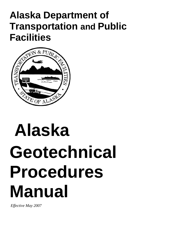## **Alaska Department of Transportation and Public Facilities**



## **Alaska Geotechnical Procedures Manual**

 *Effective May 2007*